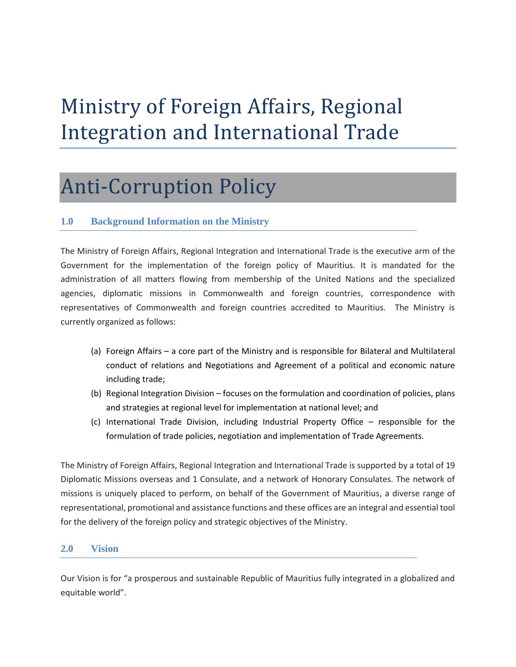# Ministry of Foreign Affairs, Regional Integration and International Trade

## Anti-Corruption Policy

## **1.0 Background Information on the Ministry**

The Ministry of Foreign Affairs, Regional Integration and International Trade is the executive arm of the Government for the implementation of the foreign policy of Mauritius. It is mandated for the administration of all matters flowing from membership of the United Nations and the specialized agencies, diplomatic missions in Commonwealth and foreign countries, correspondence with representatives of Commonwealth and foreign countries accredited to Mauritius. The Ministry is currently organized as follows:

- (a) Foreign Affairs a core part of the Ministry and is responsible for Bilateral and Multilateral conduct of relations and Negotiations and Agreement of a political and economic nature including trade;
- (b) Regional Integration Division focuses on the formulation and coordination of policies, plans and strategies at regional level for implementation at national level; and
- (c) International Trade Division, including Industrial Property Office responsible for the formulation of trade policies, negotiation and implementation of Trade Agreements.

The Ministry of Foreign Affairs, Regional Integration and International Trade is supported by a total of 19 Diplomatic Missions overseas and 1 Consulate, and a network of Honorary Consulates. The network of missions is uniquely placed to perform, on behalf of the Government of Mauritius, a diverse range of representational, promotional and assistance functions and these offices are an integral and essential tool for the delivery of the foreign policy and strategic objectives of the Ministry.

## **2.0 Vision**

Our Vision is for "a prosperous and sustainable Republic of Mauritius fully integrated in a globalized and equitable world".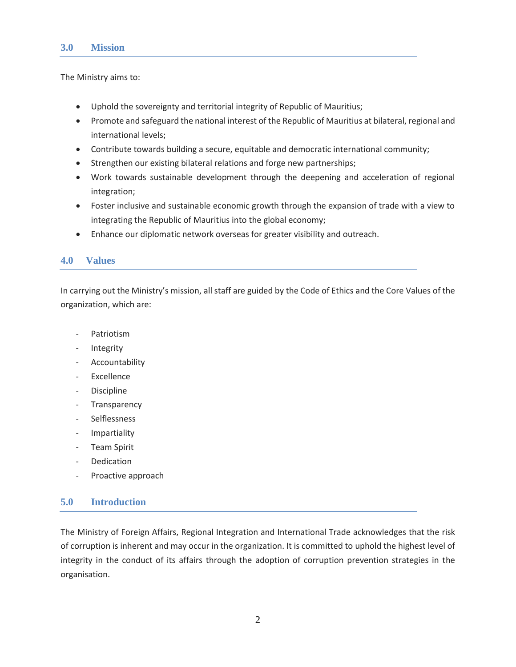#### **3.0 Mission**

The Ministry aims to:

- Uphold the sovereignty and territorial integrity of Republic of Mauritius;
- Promote and safeguard the national interest of the Republic of Mauritius at bilateral, regional and international levels;
- Contribute towards building a secure, equitable and democratic international community;
- Strengthen our existing bilateral relations and forge new partnerships;
- Work towards sustainable development through the deepening and acceleration of regional integration;
- Foster inclusive and sustainable economic growth through the expansion of trade with a view to integrating the Republic of Mauritius into the global economy;
- Enhance our diplomatic network overseas for greater visibility and outreach.

## **4.0 Values**

In carrying out the Ministry's mission, all staff are guided by the Code of Ethics and the Core Values of the organization, which are:

- Patriotism
- **Integrity**
- Accountability
- **Excellence**
- **Discipline**
- Transparency
- **Selflessness**
- **Impartiality**
- Team Spirit
- Dedication
- Proactive approach

## **5.0 Introduction**

The Ministry of Foreign Affairs, Regional Integration and International Trade acknowledges that the risk of corruption is inherent and may occur in the organization. It is committed to uphold the highest level of integrity in the conduct of its affairs through the adoption of corruption prevention strategies in the organisation.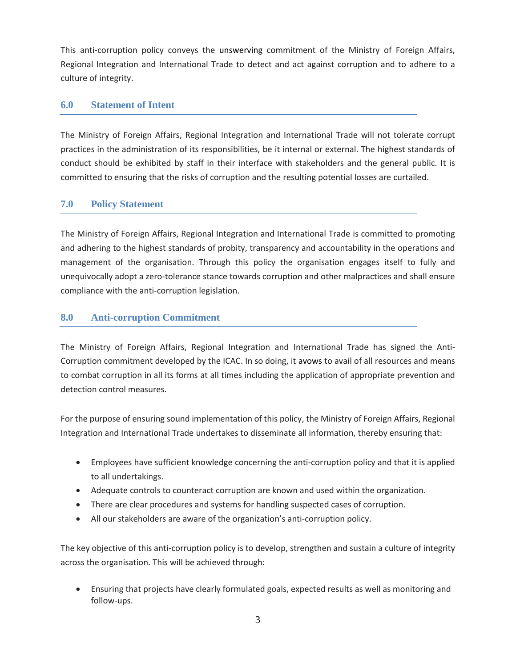This anti-corruption policy conveys the unswerving commitment of the Ministry of Foreign Affairs, Regional Integration and International Trade to detect and act against corruption and to adhere to a culture of integrity.

## **6.0 Statement of Intent**

The Ministry of Foreign Affairs, Regional Integration and International Trade will not tolerate corrupt practices in the administration of its responsibilities, be it internal or external. The highest standards of conduct should be exhibited by staff in their interface with stakeholders and the general public. It is committed to ensuring that the risks of corruption and the resulting potential losses are curtailed.

## **7.0 Policy Statement**

The Ministry of Foreign Affairs, Regional Integration and International Trade is committed to promoting and adhering to the highest standards of probity, transparency and accountability in the operations and management of the organisation. Through this policy the organisation engages itself to fully and unequivocally adopt a zero-tolerance stance towards corruption and other malpractices and shall ensure compliance with the anti-corruption legislation.

## **8.0 Anti-corruption Commitment**

The Ministry of Foreign Affairs, Regional Integration and International Trade has signed the Anti-Corruption commitment developed by the ICAC. In so doing, it avows to avail of all resources and means to combat corruption in all its forms at all times including the application of appropriate prevention and detection control measures.

For the purpose of ensuring sound implementation of this policy, the Ministry of Foreign Affairs, Regional Integration and International Trade undertakes to disseminate all information, thereby ensuring that:

- Employees have sufficient knowledge concerning the anti-corruption policy and that it is applied to all undertakings.
- Adequate controls to counteract corruption are known and used within the organization.
- There are clear procedures and systems for handling suspected cases of corruption.
- All our stakeholders are aware of the organization's anti-corruption policy.

The key objective of this anti-corruption policy is to develop, strengthen and sustain a culture of integrity across the organisation. This will be achieved through:

 Ensuring that projects have clearly formulated goals, expected results as well as monitoring and follow-ups.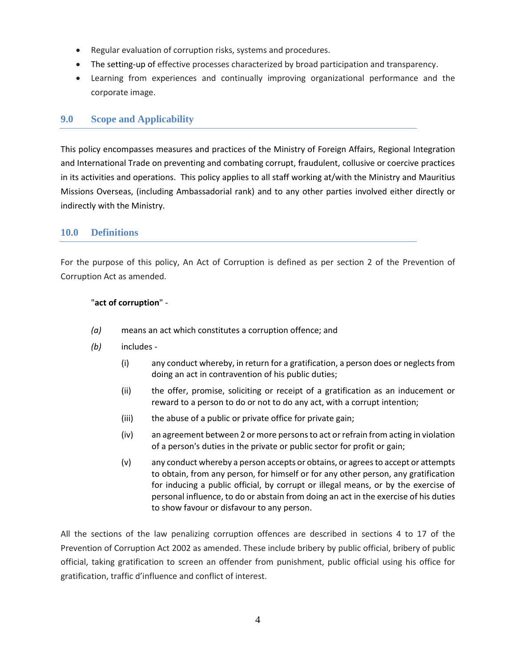- Regular evaluation of corruption risks, systems and procedures.
- The setting-up of effective processes characterized by broad participation and transparency.
- Learning from experiences and continually improving organizational performance and the corporate image.

## **9.0 Scope and Applicability**

This policy encompasses measures and practices of the Ministry of Foreign Affairs, Regional Integration and International Trade on preventing and combating corrupt, fraudulent, collusive or coercive practices in its activities and operations. This policy applies to all staff working at/with the Ministry and Mauritius Missions Overseas, (including Ambassadorial rank) and to any other parties involved either directly or indirectly with the Ministry.

## **10.0 Definitions**

For the purpose of this policy, An Act of Corruption is defined as per section 2 of the Prevention of Corruption Act as amended.

#### "**act of corruption**" -

- *(a)* means an act which constitutes a corruption offence; and
- *(b)* includes
	- (i) any conduct whereby, in return for a gratification, a person does or neglects from doing an act in contravention of his public duties;
	- (ii) the offer, promise, soliciting or receipt of a gratification as an inducement or reward to a person to do or not to do any act, with a corrupt intention;
	- (iii) the abuse of a public or private office for private gain;
	- (iv) an agreement between 2 or more persons to act or refrain from acting in violation of a person's duties in the private or public sector for profit or gain;
	- (v) any conduct whereby a person accepts or obtains, or agrees to accept or attempts to obtain, from any person, for himself or for any other person, any gratification for inducing a public official, by corrupt or illegal means, or by the exercise of personal influence, to do or abstain from doing an act in the exercise of his duties to show favour or disfavour to any person.

All the sections of the law penalizing corruption offences are described in sections 4 to 17 of the Prevention of Corruption Act 2002 as amended. These include bribery by public official, bribery of public official, taking gratification to screen an offender from punishment, public official using his office for gratification, traffic d'influence and conflict of interest.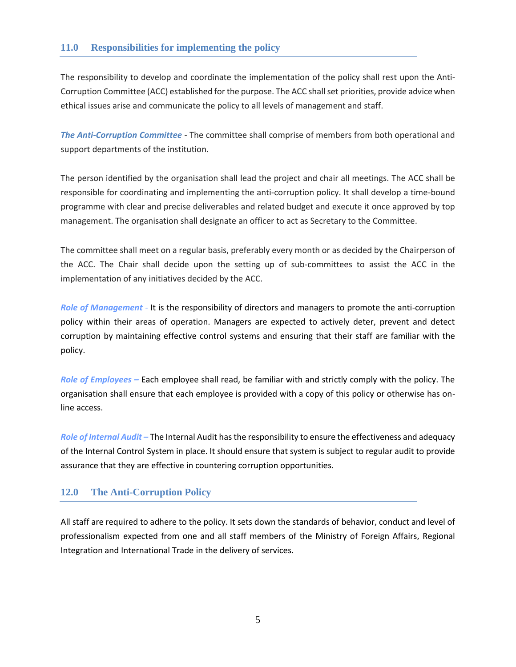## **11.0 Responsibilities for implementing the policy**

The responsibility to develop and coordinate the implementation of the policy shall rest upon the Anti-Corruption Committee (ACC) established for the purpose. The ACC shall set priorities, provide advice when ethical issues arise and communicate the policy to all levels of management and staff.

*The Anti-Corruption Committee* - The committee shall comprise of members from both operational and support departments of the institution.

The person identified by the organisation shall lead the project and chair all meetings. The ACC shall be responsible for coordinating and implementing the anti-corruption policy. It shall develop a time-bound programme with clear and precise deliverables and related budget and execute it once approved by top management. The organisation shall designate an officer to act as Secretary to the Committee.

The committee shall meet on a regular basis, preferably every month or as decided by the Chairperson of the ACC. The Chair shall decide upon the setting up of sub-committees to assist the ACC in the implementation of any initiatives decided by the ACC.

*Role of Management* - It is the responsibility of directors and managers to promote the anti-corruption policy within their areas of operation. Managers are expected to actively deter, prevent and detect corruption by maintaining effective control systems and ensuring that their staff are familiar with the policy.

*Role of Employees –* Each employee shall read, be familiar with and strictly comply with the policy. The organisation shall ensure that each employee is provided with a copy of this policy or otherwise has online access.

*Role of Internal Audit –* The Internal Audit has the responsibility to ensure the effectiveness and adequacy of the Internal Control System in place. It should ensure that system is subject to regular audit to provide assurance that they are effective in countering corruption opportunities.

## **12.0 The Anti-Corruption Policy**

All staff are required to adhere to the policy. It sets down the standards of behavior, conduct and level of professionalism expected from one and all staff members of the Ministry of Foreign Affairs, Regional Integration and International Trade in the delivery of services.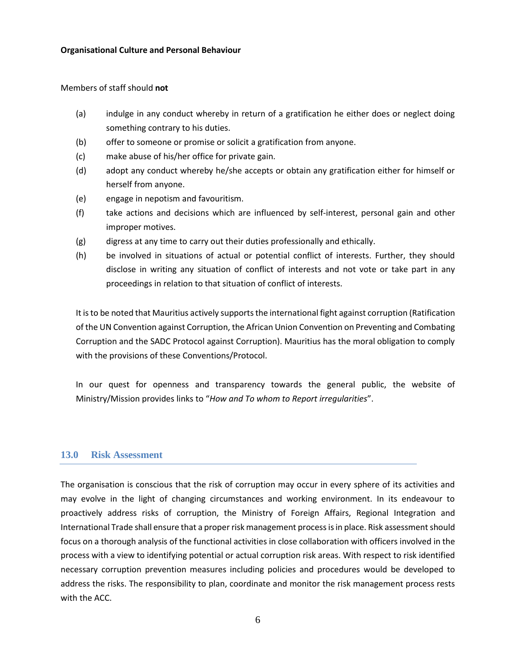#### Members of staff should **not**

- (a) indulge in any conduct whereby in return of a gratification he either does or neglect doing something contrary to his duties.
- (b) offer to someone or promise or solicit a gratification from anyone.
- (c) make abuse of his/her office for private gain.
- (d) adopt any conduct whereby he/she accepts or obtain any gratification either for himself or herself from anyone.
- (e) engage in nepotism and favouritism.
- (f) take actions and decisions which are influenced by self-interest, personal gain and other improper motives.
- (g) digress at any time to carry out their duties professionally and ethically.
- (h) be involved in situations of actual or potential conflict of interests. Further, they should disclose in writing any situation of conflict of interests and not vote or take part in any proceedings in relation to that situation of conflict of interests.

It is to be noted that Mauritius actively supports the international fight against corruption (Ratification of the UN Convention against Corruption, the African Union Convention on Preventing and Combating Corruption and the SADC Protocol against Corruption). Mauritius has the moral obligation to comply with the provisions of these Conventions/Protocol.

In our quest for openness and transparency towards the general public, the website of Ministry/Mission provides links to "*How and To whom to Report irregularities*".

#### **13.0 Risk Assessment**

The organisation is conscious that the risk of corruption may occur in every sphere of its activities and may evolve in the light of changing circumstances and working environment. In its endeavour to proactively address risks of corruption, the Ministry of Foreign Affairs, Regional Integration and International Trade shall ensure that a proper risk management process is in place. Risk assessment should focus on a thorough analysis of the functional activities in close collaboration with officers involved in the process with a view to identifying potential or actual corruption risk areas. With respect to risk identified necessary corruption prevention measures including policies and procedures would be developed to address the risks. The responsibility to plan, coordinate and monitor the risk management process rests with the ACC.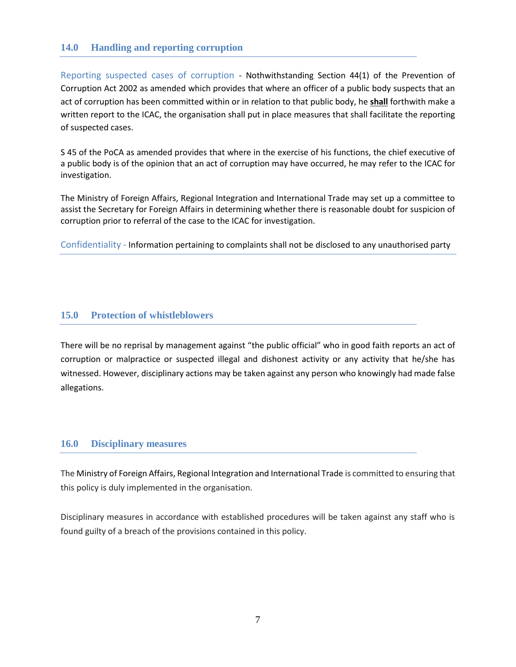## **14.0 Handling and reporting corruption**

Reporting suspected cases of corruption - Nothwithstanding Section 44(1) of the Prevention of Corruption Act 2002 as amended which provides that where an officer of a public body suspects that an act of corruption has been committed within or in relation to that public body, he **shall** forthwith make a written report to the ICAC, the organisation shall put in place measures that shall facilitate the reporting of suspected cases.

S 45 of the PoCA as amended provides that where in the exercise of his functions, the chief executive of a public body is of the opinion that an act of corruption may have occurred, he may refer to the ICAC for investigation.

The Ministry of Foreign Affairs, Regional Integration and International Trade may set up a committee to assist the Secretary for Foreign Affairs in determining whether there is reasonable doubt for suspicion of corruption prior to referral of the case to the ICAC for investigation.

Confidentiality - Information pertaining to complaints shall not be disclosed to any unauthorised party

#### **15.0 Protection of whistleblowers**

There will be no reprisal by management against "the public official" who in good faith reports an act of corruption or malpractice or suspected illegal and dishonest activity or any activity that he/she has witnessed. However, disciplinary actions may be taken against any person who knowingly had made false allegations.

#### **16.0 Disciplinary measures**

The Ministry of Foreign Affairs, Regional Integration and International Trade is committed to ensuring that this policy is duly implemented in the organisation.

Disciplinary measures in accordance with established procedures will be taken against any staff who is found guilty of a breach of the provisions contained in this policy.